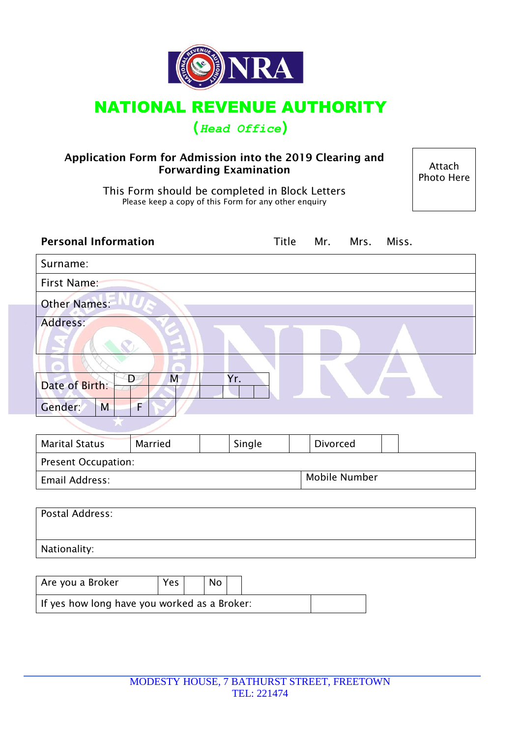

## NATIONAL REVENUE AUTHORITY

## **(***Head Office***)**

#### **Application Form for Admission into the 2019 Clearing and Forwarding Examination**

Photo Here

This Form should be completed in Block Letters Please keep a copy of this Form for any other enquiry

| <b>Personal Information</b>                   |        | Title Mr. Mrs. |                      | Miss. |
|-----------------------------------------------|--------|----------------|----------------------|-------|
| Surname:                                      |        |                |                      |       |
| First Name:                                   |        |                |                      |       |
| <b>Other Names:</b>                           |        |                |                      |       |
| Address:                                      |        |                |                      |       |
| Đ<br>M<br>Date of Birth:<br>F<br>Gender:<br>M | Yr.    |                |                      |       |
|                                               |        |                |                      |       |
| <b>Marital Status</b><br>Married              | Single |                | Divorced             |       |
| Present Occupation:                           |        |                |                      |       |
| Email Address:                                |        |                | <b>Mobile Number</b> |       |
| Postal Address:                               |        |                |                      |       |
| Nationality:                                  |        |                |                      |       |
|                                               |        |                |                      |       |

Are you a Broker  $|Yes|$  No If yes how long have you worked as a Broker: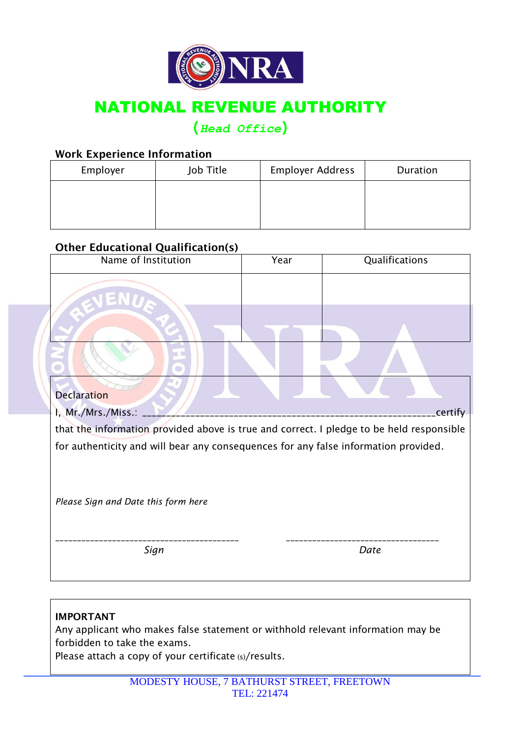

# NATIONAL REVENUE AUTHORITY

## **(***Head Office***)**

### **Work Experience Information**

| Employer | Job Title | <b>Employer Address</b> | Duration |
|----------|-----------|-------------------------|----------|
|          |           |                         |          |
|          |           |                         |          |
|          |           |                         |          |

## **Other Educational Qualification(s)**

| Name of Institution                                                                      | Year | Qualifications |  |  |  |  |
|------------------------------------------------------------------------------------------|------|----------------|--|--|--|--|
|                                                                                          |      |                |  |  |  |  |
|                                                                                          |      |                |  |  |  |  |
|                                                                                          |      |                |  |  |  |  |
| <b>Declaration</b>                                                                       |      |                |  |  |  |  |
| I, Mr./Mrs./Miss.:<br>certify                                                            |      |                |  |  |  |  |
| that the information provided above is true and correct. I pledge to be held responsible |      |                |  |  |  |  |
| for authenticity and will bear any consequences for any false information provided.      |      |                |  |  |  |  |
|                                                                                          |      |                |  |  |  |  |
| Please Sign and Date this form here                                                      |      |                |  |  |  |  |
| Sign                                                                                     | Date |                |  |  |  |  |

#### **IMPORTANT**

Any applicant who makes false statement or withhold relevant information may be forbidden to take the exams.

Please attach a copy of your certificate (s)/results.